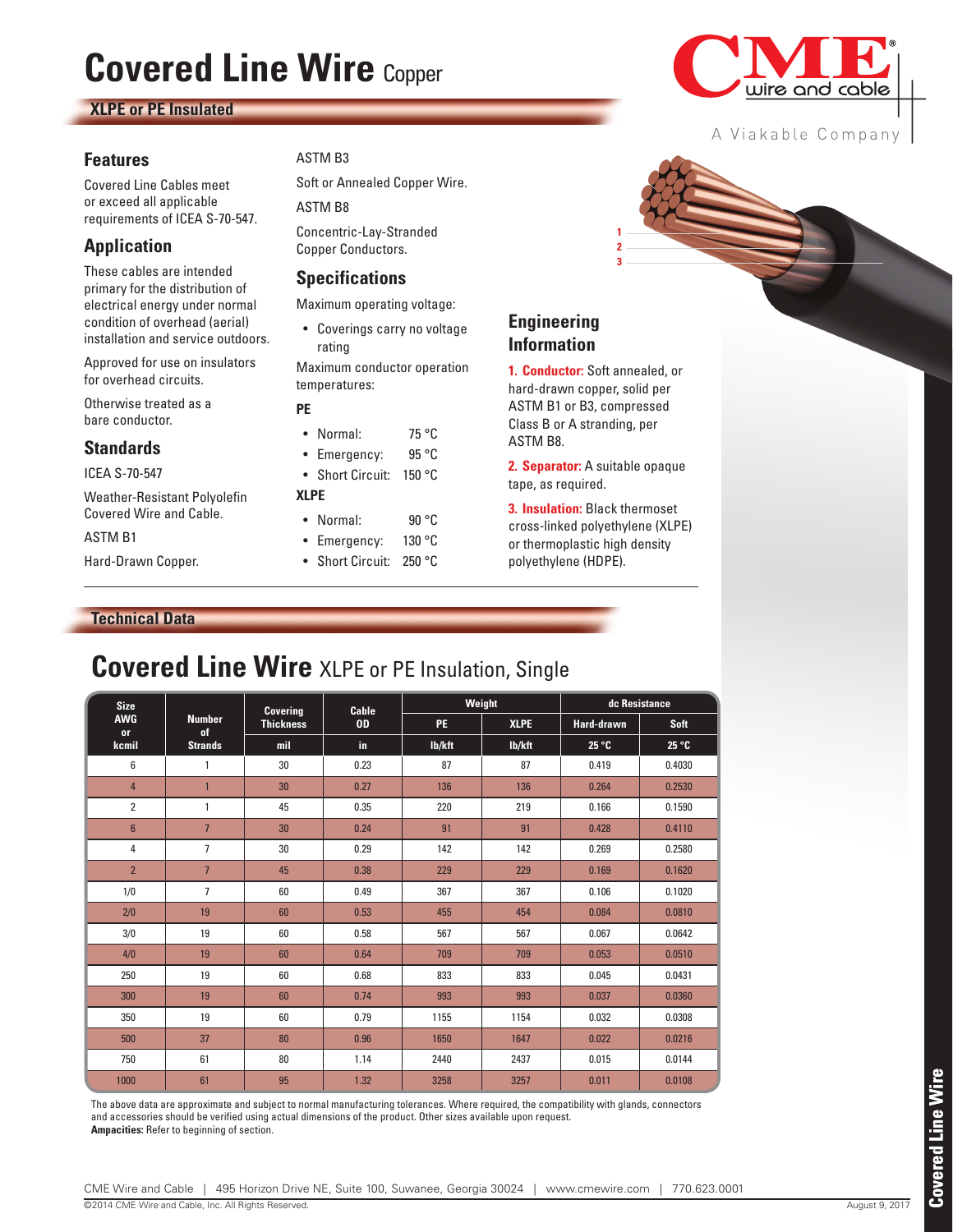# **Covered Line Wire Copper**

### **XLPE or PE Insulated**

#### **Features**

Covered Line Cables meet or exceed all applicable requirements of ICEA S-70-547.

# **Application**

These cables are intended primary for the distribution of electrical energy under normal condition of overhead (aerial) installation and service outdoors.

Approved for use on insulators for overhead circuits.

Otherwise treated as a bare conductor.

#### **Standards**

ICEA S-70-547

Weather-Resistant Polyolefin Covered Wire and Cable.

#### ASTM B1

Hard-Drawn Copper.

### ASTM B3

Soft or Annealed Copper Wire. ASTM B8

Concentric-Lay-Stranded Copper Conductors.

## **Specifications**

Maximum operating voltage:

• Coverings carry no voltage rating

Maximum conductor operation temperatures:

#### **PE**

- Normal: 75 °C • Emergency: 95 °C
- Short Circuit: 150 °C

#### **XLPE**

- Normal: 90 °C • Emergency: 130 °C
- Short Circuit: 250 °C



**Engineering Information**

ASTM B1 or B3, compressed Class B or A stranding, per ASTM B8.

**3 2 1**

**2. Separator:** A suitable opaque tape, as required.

**3. Insulation:** Black thermoset cross-linked polyethylene (XLPE) or thermoplastic high density polyethylene (HDPE).

#### **Technical Data**

# **Covered Line Wire** XLPE or PE Insulation, Single

| <b>Size</b><br><b>AWG</b><br><b>or</b><br>kcmil | <b>Number</b><br>of<br><b>Strands</b> | Covering<br><b>Thickness</b> | <b>Cable</b><br><b>OD</b> | Weight    |             | dc Resistance     |             |
|-------------------------------------------------|---------------------------------------|------------------------------|---------------------------|-----------|-------------|-------------------|-------------|
|                                                 |                                       |                              |                           | <b>PE</b> | <b>XLPE</b> | <b>Hard-drawn</b> | <b>Soft</b> |
|                                                 |                                       | mil                          | in.                       | lb/kft    | lb/kft      | 25 °C             | 25 °C       |
| 6                                               | 1                                     | 30                           | 0.23                      | 87        | 87          | 0.419             | 0.4030      |
| 4                                               | $\mathbf{1}$                          | 30                           | 0.27                      | 136       | 136         | 0.264             | 0.2530      |
| $\overline{2}$                                  | 1                                     | 45                           | 0.35                      | 220       | 219         | 0.166             | 0.1590      |
| $6\phantom{1}$                                  | $\overline{7}$                        | 30                           | 0.24                      | 91        | 91          | 0.428             | 0.4110      |
| 4                                               | $\overline{7}$                        | 30                           | 0.29                      | 142       | 142         | 0.269             | 0.2580      |
| $\overline{2}$                                  | $\overline{7}$                        | 45                           | 0.38                      | 229       | 229         | 0.169             | 0.1620      |
| 1/0                                             | $\overline{7}$                        | 60                           | 0.49                      | 367       | 367         | 0.106             | 0.1020      |
| 2/0                                             | 19                                    | 60                           | 0.53                      | 455       | 454         | 0.084             | 0.0810      |
| 3/0                                             | 19                                    | 60                           | 0.58                      | 567       | 567         | 0.067             | 0.0642      |
| 4/0                                             | 19                                    | 60                           | 0.64                      | 709       | 709         | 0.053             | 0.0510      |
| 250                                             | 19                                    | 60                           | 0.68                      | 833       | 833         | 0.045             | 0.0431      |
| 300                                             | 19                                    | 60                           | 0.74                      | 993       | 993         | 0.037             | 0.0360      |
| 350                                             | 19                                    | 60                           | 0.79                      | 1155      | 1154        | 0.032             | 0.0308      |
| 500                                             | 37                                    | 80                           | 0.96                      | 1650      | 1647        | 0.022             | 0.0216      |
| 750                                             | 61                                    | 80                           | 1.14                      | 2440      | 2437        | 0.015             | 0.0144      |
| 1000                                            | 61                                    | 95                           | 1.32                      | 3258      | 3257        | 0.011             | 0.0108      |

The above data are approximate and subject to normal manufacturing tolerances. Where required, the compatibility with glands, connectors and accessories should be verified using actual dimensions of the product. Other sizes available upon request. **Ampacities:** Refer to beginning of section.



A Viakable Company